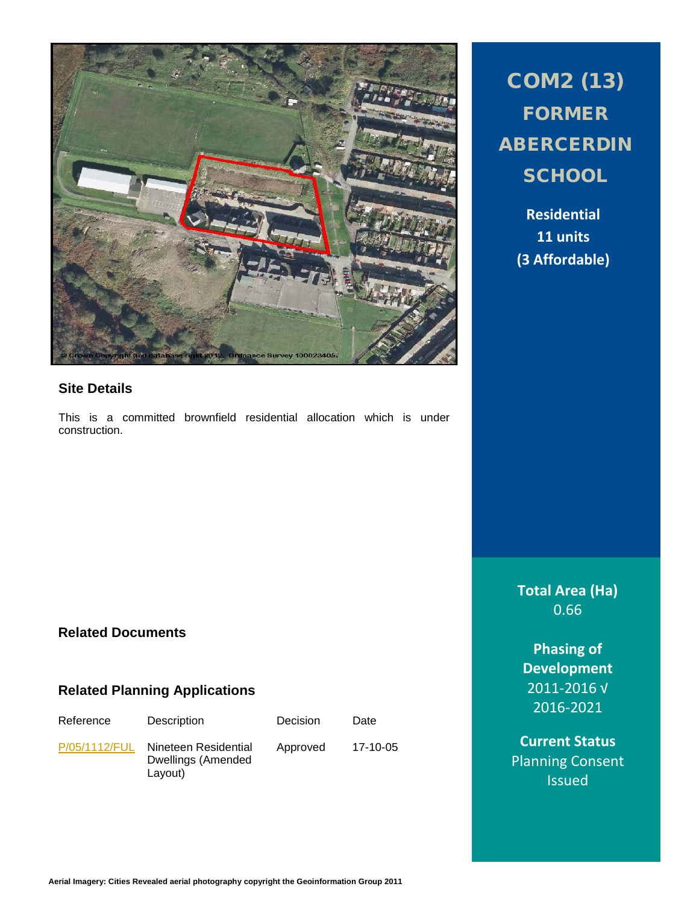

### **Site Details**

This is a committed brownfield residential allocation which is under construction.

**Related Documents**

## **Related Planning Applications**

| Reference     | Description                                                  | Decision | Date     |
|---------------|--------------------------------------------------------------|----------|----------|
| P/05/1112/FUL | Nineteen Residential<br><b>Dwellings (Amended</b><br>Layout) | Approved | 17-10-05 |

# COM2 (13) FORMER ABERCERDIN **SCHOOL**

**Residential 11 units (3 Affordable)**

**Total Area (Ha)** 0.66

**Phasing of Development** 2011-2016 √ 2016-2021

**Current Status** Planning Consent Issued